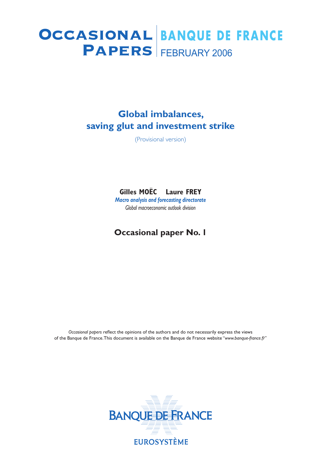# **PAPERS** FEBRUARY 2006 Occasional **BANQUE DE FRANCE**

## **Global imbalances, saving glut and investment strike**

(Provisional version)

### **Gilles MOËC – Laure FREY**

*Macro analysis and forecasting directorate Global macroeconomic outlook division*

## **Occasional paper No. 1**

*Occasional papers* reflect the opinions of the authors and do not necessarily express the views of the Banque de France. This document is available on the Banque de France website "*www.banque-france.fr*"

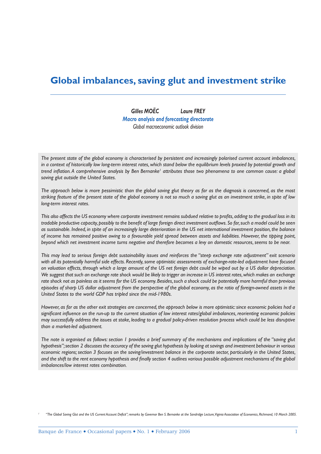## **Global imbalances, saving glut and investment strike**

*Gilles MOËC Laure FREY Macro analysis and forecasting directorate Global macroeconomic outlook division*

*The present state of the global economy is characterised by persistent and increasingly polarised current account imbalances,*  in a context of historically low long-term interest rates, which stand below the equilibrium levels proxied by potential growth and trend inflation. A comprehensive analysis by Ben Bernanke' attributes those two phenomena to one common cause: a global *saving glut outside the United States.* 

*The approach below is more pessimistic than the global saving glut theory as far as the diagnosis is concerned, as the most striking feature of the present state of the global economy is not so much a saving glut as an investment strike, in spite of low long-term interest rates.* 

This also affects the US economy where corporate investment remains subdued relative to profits, adding to the gradual loss in its *tradable productive capacity, possibly to the benefit of large foreign direct investment outflows. So far, such a model could be seen as sustainable. Indeed, in spite of an increasingly large deterioration in the US net international investment position, the balance of income has remained positive owing to a favourable yield spread between assets and liabilities. However, the tipping point, beyond which net investment income turns negative and therefore becomes a levy on domestic resources, seems to be near.*

*This may lead to serious foreign debt sustainability issues and reinforces the "steep exchange rate adjustment" exit scenario with all its potentially harmful side effects. Recently, some optimistic assessments of exchange-rate-led adjustment have focused on valuation effects, through which a large amount of the US net foreign debt could be wiped out by a US dollar depreciation. We suggest that such an exchange rate shock would be likely to trigger an increase in US interest rates, which makes an exchange rate shock not as painless as it seems for the US economy. Besides, such a shock could be potentially more harmful than previous episodes of sharp US dollar adjustment from the perspective of the global economy, as the ratio of foreign-owned assets in the United States to the world GDP has tripled since the mid-1980s.*

*However, as far as the other exit strategies are concerned, the approach below is more optimistic: since economic policies had a*  significant influence on the run-up to the current situation of low interest rates/global imbalances, reorienting economic policies *may successfully address the issues at stake, leading to a gradual policy-driven resolution process which could be less disruptive than a market-led adjustment.*

*The note is organised as follows: section 1 provides a brief summary of the mechanisms and implications of the "saving glut hypothesis"; section 2 discusses the accuracy of the saving glut hypothesis by looking at savings and investment behaviour in various economic regions; section 3 focuses on the saving/investment balance in the corporate sector, particularly in the United States,*  and the shift to the rent economy hypothesis and finally section 4 outlines various possible adjustment mechanisms of the global *imbalances/low interest rates combination.* 

*<sup>1</sup> "The Global Saving Glut and the US Current Account Deficit"; remarks by Governor Ben S. Bernanke at the Sandridge Lecture, Viginia Association of Economics, Richmond, 10 March 2005.*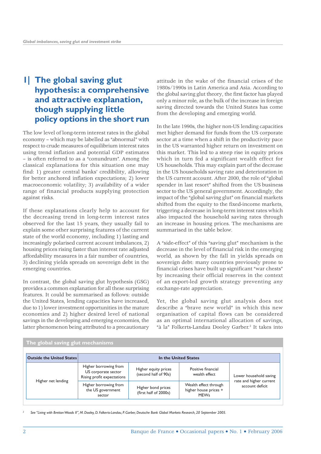## **1| The global saving glut hypothesis: a comprehensive and attractive explanation, though supplying little policy options in the short run**

The low level of long-term interest rates in the global economy – which may be labelled as "abnormal" with respect to crude measures of equilibrium interest rates using trend inflation and potential GDP estimates – is often referred to as a "conundrum". Among the classical explanations for this situation one may find: 1) greater central banks' credibility, allowing for better anchored inflation expectations; 2) lower macroeconomic volatility; 3) availability of a wider range of financial products supplying protection against risks.

If these explanations clearly help to account for the decreasing trend in long-term interest rates observed for the last 15 years, they usually fail to explain some other surprising features of the current state of the world economy, including 1) lasting and increasingly polarised current account imbalances, 2) housing prices rising faster than interest rate adjusted affordability measures in a fair number of countries, 3) declining yields spreads on sovereign debt in the emerging countries.

In contrast, the global saving glut hypothesis (GSG) provides a common explanation for all these surprising features. It could be summarised as follows: outside the United States, lending capacities have increased, due to 1) lower investment opportunities in the mature economies and 2) higher desired level of national savings in the developing and emerging economies, the latter phenomenon being attributed to a precautionary

attitude in the wake of the financial crises of the 1980s/1990s in Latin America and Asia. According to the global saving glut theory, the first factor has played only a minor role, as the bulk of the increase in foreign saving directed towards the United States has come from the developing and emerging world.

In the late 1990s, the higher non-US lending capacities met higher demand for funds from the US corporate sector at a time when a shift in the productivity pace in the US warranted higher return on investment on this market. This led to a steep rise in equity prices which in turn fed a significant wealth effect for US households. This may explain part of the decrease in the US households saving rate and deterioration in the US current account. After 2000, the role of "global spender in last resort" shifted from the US business sector to the US general government. Accordingly, the impact of the "global saving glut" on financial markets shifted from the equity to the fixed-income markets, triggering a decrease in long-term interest rates which also impacted the household saving rates through an increase in housing prices. The mechanisms are summarised in the table below.

A "side-effect" of this "saving glut" mechanism is the decrease in the level of financial risk in the emerging world*,* as shown by the fall in yields spreads on sovereign debt: many countries previously prone to financial crises have built up significant "war chests" by increasing their official reserves in the context of an export-led growth strategy preventing any exchange-rate appreciation.

Yet, the global saving glut analysis does not describe a "brave new world" in which this new organisation of capital flows can be considered as an optimal international allocation of savings, "à la" Folkerts-Landau Dooley Garber.<sup>2</sup> It takes into

| <b>Outside the United States</b> | In the United States                                                       |                                              |                                                               |                                                                      |  |
|----------------------------------|----------------------------------------------------------------------------|----------------------------------------------|---------------------------------------------------------------|----------------------------------------------------------------------|--|
| Higher net lending               | Higher borrowing from<br>US corporate sector<br>Rising profit expectations | Higher equity prices<br>(second half of 90s) | Positive financial<br>wealth effect                           | Lower household saving<br>rate and higher current<br>account deficit |  |
|                                  | Higher borrowing from<br>the US government<br>sector                       | Higher bond prices<br>(first half of 2000s)  | Wealth effect through<br>higher house prices +<br><b>MEWs</b> |                                                                      |  |

#### **The global saving glut mechanisms**

 *See "Living with Bretton Woods II", M. Dooley, D. Folkerts-Landau, P. Garber, Deutsche Bank Global Markets Research, 20 September 2005.*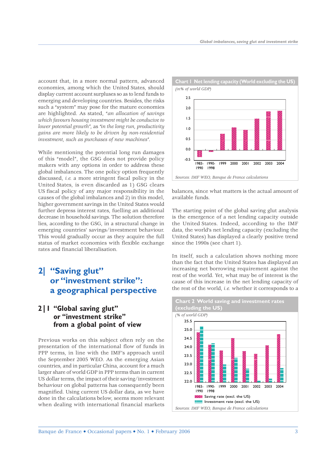account that, in a more normal pattern, advanced economies, among which the United States, should display current account surpluses so as to lend funds to emerging and developing countries. Besides, the risks such a "system" may pose for the mature economies are highlighted. As stated, "*an allocation of savings which favours housing investment might be conducive to lower potential growth"*, as *"in the long run, productivity gains are more likely to be driven by non-residential investment, such as purchases of new machines"*.

While mentioning the potential long run damages of this "model", the GSG does not provide policy makers with any options in order to address these global imbalances. The one policy option frequently discussed, *i.e.* a more stringent fiscal policy in the United States, is even discarded as 1) GSG clears US fiscal policy of any major responsibility in the causes of the global imbalances and 2) in this model, higher government savings in the United States would further depress interest rates, fuelling an additional decrease in household savings. The solution therefore lies, according to the GSG, in a structural change in emerging countries' savings/investment behaviour. This would gradually occur as they acquire the full status of market economies with flexible exchange rates and financial liberalisation.

## **2| "Saving glut" or "investment strike": a geographical perspective**

#### **2|1 "Global saving glut" or "investment strike" from a global point of view**

Previous works on this subject often rely on the presentation of the international flow of funds in PPP terms, in line with the IMF's approach until the September 2005 WEO. As the emerging Asian countries, and in particular China, account for a much larger share of world GDP in PPP terms than in current US dollar terms, the impact of their saving/investment behaviour on global patterns has consequently been magnified. Using current US dollar data, as we have done in the calculations below, seems more relevant when dealing with international financial markets



balances, since what matters is the actual amount of available funds.

The starting point of the global saving glut analysis is the emergence of a net lending capacity outside the United States. Indeed, according to the IMF data, the world's net lending capacity (excluding the United States) has displayed a clearly positive trend since the 1990s (see chart 1).

In itself, such a calculation shows nothing more than the fact that the United States has displayed an increasing net borrowing requirement against the rest of the world. Yet, what may be of interest is the cause of this increase in the net lending capacity of the rest of the world, *i.e.* whether it corresponds to a

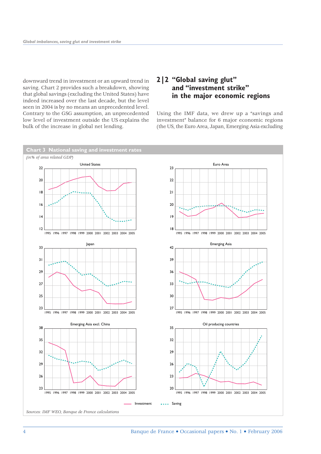downward trend in investment or an upward trend in saving. Chart 2 provides such a breakdown, showing that global savings (excluding the United States) have indeed increased over the last decade, but the level seen in 2004 is by no means an unprecedented level. Contrary to the GSG assumption, an unprecedented low level of investment outside the US explains the bulk of the increase in global net lending.

#### **2|2 "Global saving glut" and "investment strike" in the major economic regions**

Using the IMF data, we drew up a "savings and investment" balance for 6 major economic regions (the US, the Euro Area, Japan, Emerging Asia excluding

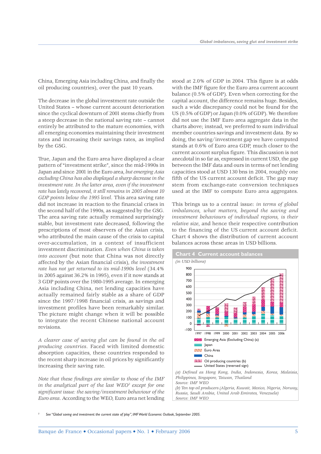China, Emerging Asia including China, and finally the oil producing countries), over the past 10 years.

The decrease in the global investment rate outside the United States – whose current account deterioration since the cyclical downturn of 2001 stems chiefly from a steep decrease in the national saving rate – cannot entirely be attributed to the mature economies, with all emerging economies maintaining their investment rates and increasing their savings rates, as implied by the GSG.

True, Japan and the Euro area have displayed a clear pattern of "investment strike", since the mid-1990s in Japan and since 2001 in the Euro area, *but emerging Asia excluding China has also displayed a sharp decrease in the investment rate. In the latter area, even if the investment rate has lately recovered, it still remains in 2005 almost 10 GDP points below the 1995 level*. This area saving rate did not increase in reaction to the financial crises in the second half of the 1990s, as suggested by the GSG. The area saving rate actually remained surprisingly stable, but investment rate decreased, following the prescriptions of most observers of the Asian crisis, who attributed the main cause of the crisis to capital over-accumulation, in a context of insufficient investment discrimination. *Even when China is taken into account* (but note that China was not directly affected by the Asian financial crisis), *the investment rate has not yet returned to its mid-1990s level* (34.4% in 2005 against 36.2% in 1995), even if it now stands at 3 GDP points over the 1980-1995 average. In emerging Asia including China, net lending capacities have actually remained fairly stable as a share of GDP since the 1997/1998 financial crisis, as savings and investment profiles have been remarkably similar. The picture might change when it will be possible to integrate the recent Chinese national account revisions.

*A clearer case of saving glut can be found in the oil producing countries*. Faced with limited domestic absorption capacities, these countries responded to the recent sharp increase in oil prices by significantly increasing their saving rate.

*Note that these findings are similar to those of the IMF in the analytical part of the last WEO3 except for one significant issue: the saving/investment behaviour of the Euro area*. According to the WEO, Euro area net lending

stood at 2.0% of GDP in 2004. This figure is at odds with the IMF figure for the Euro area current account balance (0.5% of GDP). Even when correcting for the capital account, the difference remains huge. Besides, such a wide discrepancy could not be found for the US (0.5% of GDP) or Japan (0.0% of GDP). We therefore did not use the IMF Euro area aggregate data in the charts above; instead, we preferred to sum individual member countries savings and investment data. By so doing, the saving/investment gap we have computed stands at 0.6% of Euro area GDP, much closer to the current account surplus figure. This discussion is not anecdotal in so far as, expressed in current USD, the gap between the IMF data and ours in terms of net lending capacities stood at USD 130 bns in 2004, roughly one fifth of the US current account deficit. The gap may stem from exchange-rate conversion techniques used at the IMF to compute Euro area aggregates.

This brings us to a central issue: *in terms of global imbalances, what matters, beyond the saving and investment behaviours of individual regions, is their relative size*, and hence their respective contribution to the financing of the US current account deficit. Chart 4 shows the distribution of current account balances across these areas in USD billions.



*Philippines, Singapore, Taiwan, Thailand Source: IMF WEO (b) Ten top oil producers (Algeria, Kuwait, Mexico, Nigeria, Norway,* 

*Russia, Saudi Arabia, United Arab Emirates, Venezuela) Source: IMF WEO*

*3 See "Global saving and investment: the current state of play", IMF World Economic Outlook, September 2005.*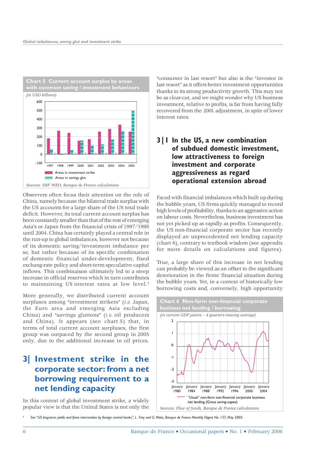

Observers often focus their attention on the role of China, namely because the bilateral trade surplus with the US accounts for a large share of the US total trade deficit. However, its total current account surplus has been constantly smaller than that of the rest of emerging Asia's or Japan from the financial crisis of 1997/1998 until 2004. China has certainly played a central role in the run-up to global imbalances, however not because of its domestic saving/investment imbalance per se, but rather because of its specific combination of domestic financial under-development, fixed exchang-rate policy and short-term speculative capital inflows. This combinaison ultimately led to a steep increase in official reserves which in turn contributes to maintaining US interest rates at low level.4

More generally, we distributed current account surpluses among "investment strikers" (*i.e.* Japan, the Euro area and emerging Asia excluding China) and "savings gluttons" (*i.e.* oil producers and China). It appears (see chart 5) that, in terms of total current account surpluses, the first group was outpaced by the second group in 2005 only, due to the additional increase in oil prices.

## **3| Investment strike in the corporate sector: from a net borrowing requirement to a net lending capacity**

In this context of global investment strike, a widely popular view is that the United States is not only the

"consumer in last resort" but also is the "investor in last resort" as it offers better investment opportunities thanks to its strong productivity growth. This may not be as clear-cut, and we might wonder why US business investment, relative to profits, is far from having fully recovered from the 2001 adjustment, in spite of lower interest rates.

#### **3|1 In the US, a new combination of subdued domestic investment, low attractiveness to foreign investment and corporate aggressiveness as regard operational extension abroad**

Faced with financial imbalances which built up during the bubble years, US firms quickly managed to record high levels of profitability, thanks to an aggressive action on labour costs. Nevertheless, business investment has not yet picked up as rapidly as profits. Consequently, the US non-financial corporate sector has recently displayed an unprecedented net lending capacity (chart 6), contrary to textbook wisdom (see appendix for more details on calculations and figures).

True, a large share of this increase in net lending can probably be viewed as an offset to the significant deterioration in the firms' financial situation during the bubble years. Yet, in a context of historically low borrowing costs and, conversely, high opportunity



*4 See "US long-term yields and forex intervention by foreign central banks", L . Frey and G. Moëc, Banque de France Monthly Digest No. 137, May 2005.*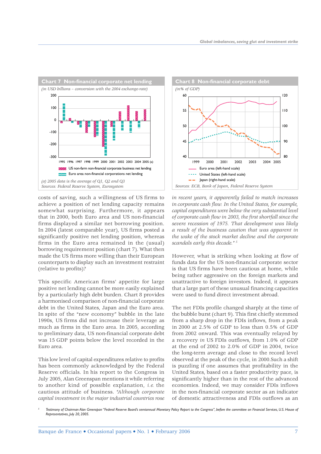

costs of saving, such a willingness of US firms to achieve a position of net lending capacity remains somewhat surprising. Furthermore, it appears that in 2000, both Euro area and US non-financial firms displayed a similar net borrowing position. In 2004 (latest comparable year), US firms posted a significantly positive net lending position, whereas firms in the Euro area remained in the (usual) borrowing requirement position (chart 7). What then made the US firms more willing than their European counterparts to display such an investment restraint (relative to profits)?

This specific American firms' appetite for large positive net lending cannot be more easily explained by a particularly high debt burden. Chart 8 provides a harmonised comparison of non-financial corporate debt in the United States, Japan and the Euro area. In spite of the "new economy" bubble in the late 1990s, US firms did not increase their leverage as much as firms in the Euro area. In 2005, according to preliminary data, US non-financial corporate debt was 15 GDP points below the level recorded in the Euro area.

This low level of capital expenditures relative to profits has been commonly acknowledged by the Federal Reserve officials. In his report to the Congress in July 2005, Alan Greenspan mentions it while referring to another kind of possible explanation, *i.e.* the cautious attitude of business. *"Although corporate capital investment in the major industrial countries rose* 



*in recent years, it apparently failed to match increases in corporate cash flow. In the United States, for example, capital expenditures were below the very substantial level of corporate cash flow in 2003, the first shortfall since the severe recession of 1975. That development was likely a result of the business caution that was apparent in the wake of the stock market decline and the corporate scandals early this decade." 5*

However, what is striking when looking at flow of funds data for the US non-financial corporate sector is that US firms have been cautious at home, while being rather aggressive on the foreign markets and unattractive to foreign investors. Indeed, it appears that a large part of these unusual financing capacities were used to fund direct investment abroad.

The net FDIs profile changed sharply at the time of the bubble burst (chart 9). This first chiefly stemmed from a sharp drop in the FDIs inflows, from a peak in 2000 at 2.5% of GDP to less than 0.5% of GDP from 2002 onward. This was eventually relayed by a recovery *in* US FDIs outflows, from 1.0% of GDP at the end of 2002 to 2.0% of GDP in 2004, twice the long-term average and close to the record level observed at the peak of the cycle, in 2000.Such a shift is puzzling if one assumes that profitability in the United States, based on a faster productivity pace, is significantly higher than in the rest of the advanced economies. Indeed, we may consider FDIs inflows in the non-financial corporate sector as an indicator of domestic attractiveness and FDIs outflows as an

*5 Testimony of Chairman Alan Greenspan "Federal Reserve Board's semiannual Monetary Policy Report to the Congress", before the committee on Financial Services, U.S. House of Representatives, July 20, 2005.*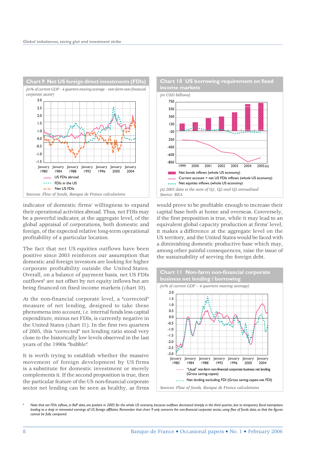

indicator of domestic firms' willingness to expand their operational activities abroad. Thus, net FDIs may be a powerful indicator, at the aggregate level, of the global appraisal of corporations, both domestic and foreign, of the expected relative long-term operational profitability of a particular location.

The fact that net US equities outflows have been positive since 2003 reinforces our assumption that domestic and foreign investors are looking for higher corporate profitability outside the United States. Overall, on a balance of payment basis, net US FDIs outflows<sup>6</sup> are not offset by net equity inflows but are being financed on fixed income markets (chart 10).

At the non-financial corporate level, a "corrected" measure of net lending, designed to take these phenomena into account, *i.e.* internal funds less capital expenditure, minus net FDIs, is currently negative in the United States (chart 11). In the first two quarters of 2005, this "corrected" net lending ratio stood very close to the historically low levels observed in the last years of the 1990s "bubble".

It is worth trying to establish whether the massive movement of foreign development by US firms is a substitute for domestic investment or merely complements it. If the second proposition is true, then the particular feature of the US non-financial corporate sector net lending can be seen as healthy, as firms



would prove to be profitable enough to increase their capital base both at home and overseas. Conversely, if the first proposition is true, while it may lead to an equivalent global capacity production at firms' level, it makes a difference at the aggregate level on the US territory, and the United States would be faced with a diminishing domestic productive base which may, among other painful consequences, raise the issue of the sustainability of serving the foreign debt.



*6 Note that net FDIs inflows, in BoP data, are positive in 2005 for the whole US economy, because outflows decreased sharply in the third quarter, due to temporary fiscal exemptions*  leading to a drop in reinvested earnings of US foreign affiliates. Remember that chart 9 only concerns the non-financial corporate sector, using flow of funds data, so that the figures *cannot be fully compared.*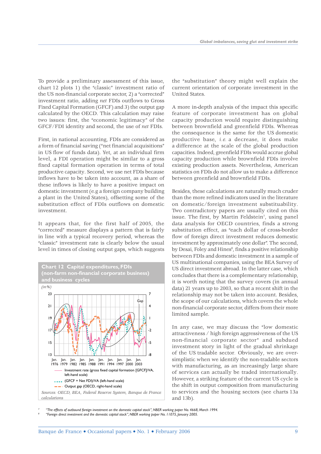To provide a preliminary assessment of this issue, chart 12 plots 1) the "classic" investment ratio of the US non-financial corporate sector, 2) a "corrected" investment ratio, adding *net* FDIs outflows to Gross Fixed Capital Formation (GFCF) and 3) the output gap calculated by the OECD. This calculation may raise two issues: first, the "economic legitimacy" of the GFCF/FDI identity and second, the use of *net* FDIs.

First, in national accounting, FDIs are considered as a form of financial saving ("net financial acquisitions" in US flow of funds data). Yet, at an individual firm level, a FDI operation might be similar to a gross fixed capital formation operation in terms of total productive capacity. Second, we use net FDIs because inflows have to be taken into account, as a share of these inflows is likely to have a positive impact on domestic investment (e.g a foreign company building a plant in the United States), offsetting some of the substitution effect of FDIs outflows on domestic investment.

It appears that, for the first half of 2005, the "corrected" measure displays a pattern that is fairly in line with a typical recovery period, whereas the "classic" investment rate is clearly below the usual level in times of closing output gaps, which suggests



the "substitution" theory might well explain the current orientation of corporate investment in the United States.

A more in-depth analysis of the impact this specific feature of corporate investment has on global capacity production would require distinguishing between brownfield and greenfield FDIs. Whereas the consequence is the same for the US domestic productive base, *i.e.* a decrease, it does make a difference at the scale of the global production capacities. Indeed, greenfield FDIs would accrue global capacity production while brownfield FDIs involve existing production assets. Nevertheless, American statistics on FDIs do not allow us to make a difference between greenfield and brownfield FDIs.

Besides, these calculations are naturally much cruder than the more refined indicators used in the literature on domestic/foreign investment substituability. Two contradictory papers are usually cited on this issue. The first, by Martin Feldstein<sup>7</sup>, using panel data analysis for OECD countries, finds a strong substitution effect, as "each dollar of cross-border flow of foreign direct investment reduces domestic investment by approximately one dollar". The second, by Desai, Foley and Hines<sup>8</sup>, finds a positive relationship between FDIs and domestic investment in a sample of US multinational companies, using the BEA Survey of US direct investment abroad. In the latter case, which concludes that there is a complementary relationship, it is worth noting that the survey covers (in annual data) 21 years up to 2003, so that a recent shift in the relationship may not be taken into account. Besides, the scope of our calculations, which covers the whole non-financial corporate sector, differs from their more limited sample.

In any case, we may discuss the "low domestic attractiveness / high foreign aggressiveness of the US non-financial corporate sector" and subdued investment story in light of the gradual shrinkage of the US tradable sector*.* Obviously, we are oversimplistic when we identify the non-tradable sectors with manufacturing, as an increasingly large share of services can actually be traded internationally. However, a striking feature of the current US cycle is the shift in output composition from manufacturing to services and the housing sectors (see charts 13a and 13b).

*7 "The effects of outbound foreign investment on the domestic capital stock", NBER working paper No. 4668, March 1994. 8 "Foreign direct investment and the domestic capital stock", NBER working paper No. 11075, January 2005.*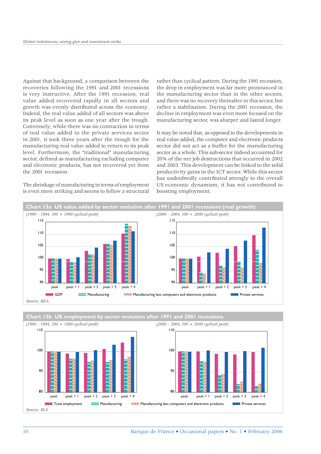Against that background, a comparison between the recoveries following the 1991 and 2001 recessions is very instructive. After the 1991 recession, real value added recovered rapidly in all sectors and growth was evenly distributed across the economy. Indeed, the real value added of all sectors was above its peak level as soon as one year after the trough. Conversely, while there was no contraction in terms of real value added in the private services sector in 2001, it took three years after the trough for the manufacturing real value added to return to its peak level. Furthermore, the "traditional" manufacturing sector, defined as manufacturing excluding computer and electronic products, has not recovered yet from the 2001 recession.

The shrinkage of manufacturing in terms of employment is even more striking and seems to follow a structural

rather than cyclical pattern. During the 1991 recession, the drop in employment was far more pronounced in the manufacturing sector than in the other sectors, and there was no recovery thereafter in this sector, but rather a stabilisation. During the 2001 recession, the decline in employment was even more focused on the manufacturing sector, was sharper and lasted longer.

It may be noted that, as opposed to the developments in real value added, the computer and electronic products sector did not act as a buffer for the manufacturing sector as a whole. This sub-sector indeed accounted for 20% of the net job destructions that occurred in 2002 and 2003. This development can be linked to the solid productivity gains in the ICT sector. While this sector has undoubtedly contributed strongly to the overall US economic dynamism, it has not contributed to boosting employment.



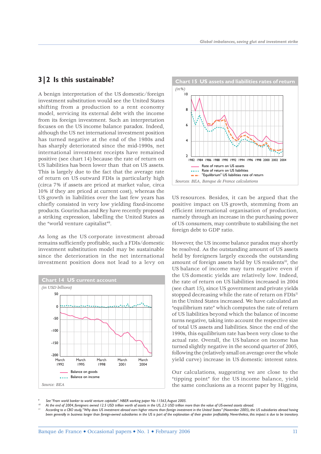#### **3|2 Is this sustainable?**

A benign interpretation of the US domestic/foreign investment substitution would see the United States shifting from a production to a rent economy model, servicing its external debt with the income from its foreign investment. Such an interpretation focuses on the US income balance paradox. Indeed, although the US net international investment position has turned negative at the end of the 1980s and has sharply deteriorated since the mid-1990s, net international investment receipts have remained positive (see chart 14) because the rate of return on US liabilities has been lower than that on US assets. This is largely due to the fact that the average rate of return on US outward FDIs is particularly high (circa 7% if assets are priced at market value, circa 10% if they are priced at current cost), whereas the US growth in liabilities over the last few years has chiefly consisted in very low yielding fixed-income products. Gourinchas and Rey have recently proposed a striking expression, labelling the United States as the "world venture capitalist"9 .

As long as the US corporate investment abroad remains sufficiently profitable, such a FDIs/domestic investment substitution model may be sustainable since the deterioration in the net international investment position does not lead to a levy on





US resources. Besides, it can be argued that the positive impact on US growth, stemming from an efficient international organisation of production, namely through an increase in the purchasing power of US consumers, may contribute to stabilising the net foreign debt to GDP ratio.

However, the US income balance paradox may shortly be resolved. As the outstanding amount of US assets held by foreigners largely exceeds the outstanding amount of foreign assets held by US residents<sup>10</sup>, the US balance of income may turn negative even if the US domestic yields are relatively low. Indeed, the rate of return on US liabilities increased in 2004 (see chart 15), since US government and private yields stopped decreasing while the rate of return on  $FDIs<sup>11</sup>$ in the United States increased. We have calculated an "equilibrium rate" which computes the rate of return of US liabilities beyond which the balance of income turns negative, taking into account the respective size of total US assets and liabilities. Since the end of the 1990s, this equilibrium rate has been very close to the actual rate. Overall, the US balance on income has turned slightly negative in the second quarter of 2005, following the (relatively small on average over the whole yield curve) increase in US domestic interest rates.

Our calculations, suggesting we are close to the "tipping point" for the US income balance, yield the same conclusions as a recent paper by Higgins,

- *9 See "From world banker to world venture capitalist". NBER working paper No 11563, August 2005.*
- *10 At the end of 2004, foreigners owned 12.5 USD trillion worth of assets in the US, 2.5 USD trillion more than the value of US-owned assets abroad.*
- *11 According to a CBO study, "Why does US investment abroad earn higher returns than foreign investment in the United States" (November 2005), the US subsidiaries abroad having been generally in business longer than foreign-owned subsidiaries in the US is part of the explanation of their greater profitability. Nevertheless, this impact is due to be transitory.*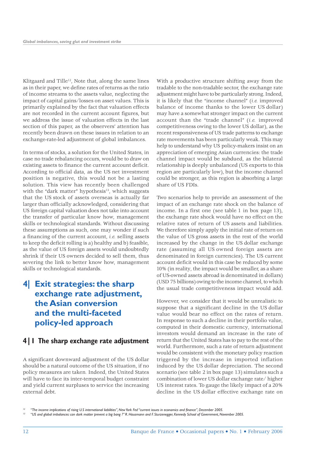Klitgaard and Tille<sup>12</sup>, Note that, along the same lines as in their paper, we define rates of returns as the ratio of income streams to the assets value, neglecting the impact of capital gains/losses on asset values. This is primarily explained by the fact that valuation effects are not recorded in the current account figures, but we address the issue of valuation effects in the last section of this paper, as the observers' attention has recently been drawn on these issues in relation to an exchange-rate-led adjustment of global imbalances.

In terms of stocks, a solution for the United States, in case no trade rebalancing occurs, would be to draw on existing assets to finance the current account deficit. According to official data, as the US net investment position is negative, this would not be a lasting solution. This view has recently been challenged with the "dark matter" hypothesis<sup>13</sup>, which suggests that the US stock of assets overseas is actually far larger than officially acknowledged, considering that US foreign capital valuation does not take into account the transfer of particular know how, management skills or technological standards. Without discussing these assumptions as such, one may wonder if such a financing of the current account, *i.e.* selling assets to keep the deficit rolling is a) healthy and b) feasible, as the value of US foreign assets would undoubtedly shrink if their US owners decided to sell them, thus severing the link to better know how, management skills or technological standards.

## **4| Exit strategies: the sharp exchange rate adjustment, the Asian conversion and the multi-faceted policy-led approach**

#### **4|1 The sharp exchange rate adjustment**

A significant downward adjustment of the US dollar should be a natural outcome of the US situation, if no policy measures are taken*.* Indeed, the United States will have to face its inter-temporal budget constraint and yield current surpluses to service the increasing external debt.

With a productive structure shifting away from the tradable to the non-tradable sector, the exchange rate adjustment might have to be particularly strong. Indeed, it is likely that the "income channel" (*i.e.* improved balance of income thanks to the lower US dollar) may have a somewhat stronger impact on the current account than the "trade channel" (*i.e.* improved competitiveness owing to the lower US dollar), as the recent responsiveness of US trade patterns to exchange rate movements has been particularly weak. This may help to understand why US policy-makers insist on an appreciation of emerging Asian currencies: the trade channel impact would be subdued, as the bilateral relationship is deeply unbalanced (US exports to this region are particularly low), but the income channel could be stronger, as this region is absorbing a large share of US FDIs.

Two scenarios help to provide an assessment of the impact of an exchange rate shock on the balance of income. In a first one (see table 1 in box page 13), the exchange rate shock would have no effect on the relative rates of return of US assets and liabilities. We therefore simply apply the initial rate of return on the value of US gross assets in the rest of the world increased by the change in the US dollar exchange rate (assuming all US owned foreign assets are denominated in foreign currencies). The US current account deficit would in this case be reduced by some 10% (in reality, the impact would be smaller, as a share of US-owned assets abroad is denominated in dollars) (USD 75 billions) owing to the income channel, to which the usual trade competitiveness impact would add.

However, we consider that it would be unrealistic to suppose that a significant decline in the US dollar value would bear no effect on the rates of return. In response to such a decline in their portfolio value, computed in their domestic currency, international investors would demand an increase in the rate of return that the United States has to pay to the rest of the world. Furthermore, such a rate of return adjustment would be consistent with the monetary policy reaction triggered by the increase in imported inflation induced by the US dollar depreciation. The second scenario (see table 2 in box page 13) simulates such a combination of lower US dollar exchange rate/ higher US interest rates. To gauge the likely impact of a 20% decline in the US dollar effective exchange rate on

*<sup>12 &</sup>quot;The income implications of rising U.S international liabilities", New York Fed "current issues in economics and finance", December 2005.*

*<sup>13 &</sup>quot;US and global imbalances: can dark matter prevent a big bang ?" R. Hausmann and F. Sturzenegger, Kennedy School of Government, November 2005.*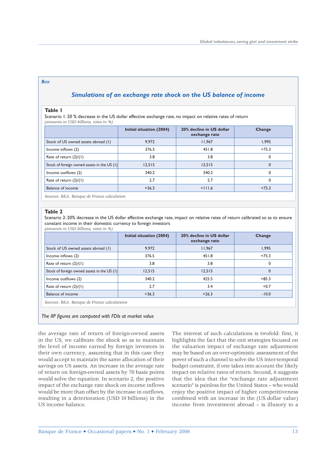#### *BOX*

#### *Simulations of an exchange rate shock on the US balance of income*

#### **Table 1**

Scenario 1: 20 % decrease in the US dollar effective exchange rate, no impact on relative rates of return *(amounts in USD billions, rates in %)*

|                                             | Initial situation (2004) | 20% decline in US dollar<br>exchange rate | Change      |
|---------------------------------------------|--------------------------|-------------------------------------------|-------------|
| Stock of US owned assets abroad (1)         | 9,972                    | 11,967                                    | 1,995       |
| Income inflows (2)                          | 376.5                    | 451.8                                     | $+75.3$     |
| Rate of return $(2)/(1)$                    | 3.8                      | 3.8                                       | 0           |
| Stock of foreign owned assets in the US (1) | 12,515                   | 12,515                                    | $\mathbf 0$ |
| Income outflows (2)                         | 340.2                    | 340.2                                     | $\Omega$    |
| Rate of return $(2)/(1)$                    | 2.7                      | 2.7                                       | $\Omega$    |
| Balance of income                           | $+36.3$                  | $+111.6$                                  | $+75.3$     |

*Sources: BEA. Banque de France calculation* 

#### **Table 2**

Scenario 2: 20% decrease in the US dollar effective exchange rate, impact on relative rates of return calibrated so as to ensure constant income in their domestic currency to foreign investors *(amounts in USD billions, rates in %)*

|                                               | Initial situation (2004) | 20% decline in US dollar<br>exchange rate | Change  |  |  |
|-----------------------------------------------|--------------------------|-------------------------------------------|---------|--|--|
| Stock of US owned assets abroad (1)           | 9,972                    | 11.967                                    | 1,995   |  |  |
| Income inflows (2)                            | 376.5                    | 451.8                                     | $+75.3$ |  |  |
| Rate of return $(2)/(1)$                      | 3.8                      | 3.8                                       | 0       |  |  |
| Stock of foreign owned assets in the US $(1)$ | 12,515                   | 12.515                                    | 0       |  |  |
| Income outflows (2)                           | 340.2                    | 425.5                                     | $+85.3$ |  |  |
| Rate of return $(2)/(1)$                      | 2.7                      | 3.4                                       | $+0.7$  |  |  |
| <b>Balance of income</b>                      | $+36.3$                  | $+26.3$                                   | $-10.0$ |  |  |
| Sources: BEA. Banque de France calculations   |                          |                                           |         |  |  |

The IIP figures are computed with FDIs at market value

the average rate of return of foreign-owned assets in the US, we calibrate the shock so as to maintain the level of income earned by foreign investors in their own currency, assuming that in this case they would accept to maintain the same allocation of their savings on US assets. An increase in the average rate of return on foreign-owned assets by 70 basis points would solve the equation. In scenario 2, the positive impact of the exchange rate shock on income inflows would be more than offset by the increase in outflows, resulting in a deterioration (USD 10 billions) in the US income balance.

The interest of such calculations is twofold: first, it highlights the fact that the exit strategies focused on the valuation impact of exchange rate adjustment may be based on an over-optimistic assessment of the power of such a channel to solve the US inter-temporal budget constraint, if one takes into account the likely impact on relative rates of return. Second, it suggests that the idea that the "exchange rate adjustment scenario" is painless for the United States – who would enjoy the positive impact of higher competitiveness combined with an increase in the (US dollar value) income from investment abroad – is illusory to a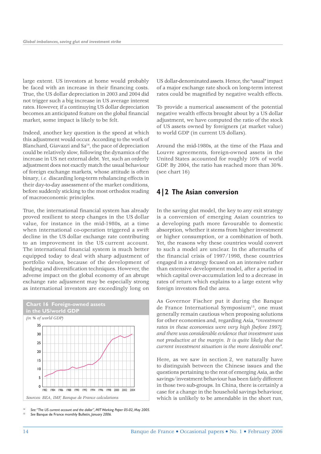large extent. US investors at home would probably be faced with an increase in their financing costs. True, the US dollar depreciation in 2003 and 2004 did not trigger such a big increase in US average interest rates. However, if a continuying US dollar depreciation becomes an anticipated feature on the global financial market, some impact is likely to be felt.

Indeed, another key question is the speed at which this adjustment would occur. According to the work of Blanchard, Giavazzi and Sa<sup>14</sup>, the pace of depreciation could be relatively slow, following the dynamics of the increase in US net external debt. Yet, such an orderly adjustment does not exactly match the usual behaviour of foreign exchange markets, whose attitude is often binary, *i.e.* discarding long-term rebalancing effects in their day-to-day assessment of the market conditions, before suddenly sticking to the most orthodox reading of macroeconomic principles.

True, the international financial system has already proved resilient to steep changes in the US dollar value, for instance in the mid-1980s, at a time when international co-operation triggered a swift decline in the US dollar exchange rate contributing to an improvement in the US current account. The international financial system is much better equipped today to deal with sharp adjustment of portfolio values, because of the development of hedging and diversification techniques. However, the adverse impact on the global economy of an abrupt exchange rate adjusment may be especially strong as international investors are exceedingly long on



*14 See: "The US current account and the dollar", MIT Working Paper 05-02, May 2005. 15 See* Banque de France monthly Bulletin*, January 2006.*

US dollar-denominated assets. Hence, the "usual" impact of a major exchange rate shock on long-term interest rates could be magnified by negative wealth effects.

To provide a numerical assessment of the potential negative wealth effects brought about by a US dollar adjustment, we have computed the ratio of the stock of US assets owned by foreigners (at market value) to world GDP (in current US dollars).

Around the mid-1980s, at the time of the Plaza and Louvre agreements, foreign-owned assets in the United States accounted for roughly 10% of world GDP. By 2004, the ratio has reached more than 30%. (see chart 16)

#### **4|2 The Asian conversion**

In the saving glut model, the key to any exit strategy is a conversion of emerging Asian countries to a developing path more favourable to domestic absorption*,* whether it stems from higher investment or higher consumption, or a combination of both. Yet, the reasons why these countries would convert to such a model are unclear. In the aftermaths of the financial crisis of 1997/1998, these countries engaged in a strategy focused on an intensive rather than extensive development model, after a period in which capital over-accumulation led to a decrease in rates of return which explains to a large extent why foreign investors fled the area.

As Governor Fischer put it during the Banque de France International Symposium<sup>15</sup>, one must generally remain cautious when proposing solutions for other economies and, regarding Asia, "*investment rates in these economies were very high [before 1997], and there was considerable evidence that investment was not productive at the margin. It is quite likely that the current investment situation is the more desirable one*".

Here, as we saw in section 2, we naturally have to distinguish between the Chinese issues and the questions pertaining to the rest of emerging Asia, as the savings/investment behaviour has been fairly different in those two sub-groups. In China, there is certainly a case for a change in the household savings behaviour, which is unlikely to be amendable in the short run,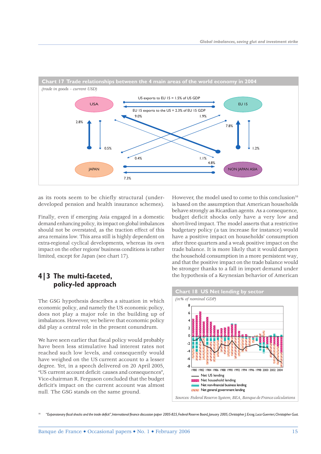

as its roots seem to be chiefly structural (underdeveloped pension and health insurance schemes).

Finally, even if emerging Asia engaged in a domestic demand enhancing policy, its impact on global imbalances should not be overstated, as the traction effect of this area remains low. This area still is highly dependent on extra-regional cyclical developments, whereas its own impact on the other regions' business conditions is rather limited, except for Japan (see chart 17).

#### **4|3 The multi-faceted, policy-led approach**

The GSG hypothesis describes a situation in which economic policy, and namely the US economic policy, does not play a major role in the building up of imbalances. However, we believe that economic policy did play a central role in the present conundrum.

We have seen earlier that fiscal policy would probably have been less stimulative had interest rates not reached such low levels, and consequently would have weighed on the US current account to a lesser degree. Yet, in a speech delivered on 20 April 2005, "US current account deficit: causes and consequences", Vice-chairman R. Ferguson concluded that the budget deficit's impact on the current account was almost null*.* The GSG stands on the same ground.

However, the model used to come to this conclusion<sup>16</sup> is based on the assumption that American households behave strongly as Ricardian agents*.* As a consequence, budget deficit shocks only have a very low and short-lived impact. The model asserts that a restrictive budgetary policy (a tax increase for instance) would have a positive impact on households' consumption after three quarters and a weak positive impact on the trade balance. It is more likely that it would dampen the household consumption in a more persistent way, and that the positive impact on the trade balance would be stronger thanks to a fall in import demand under the hypothesis of a Keynesian behavior of American



*16 "Expansionary fiscal shocks and the trade deficit", International finance discussion paper 2005-825, Federal Reserve Board, January 2005, Christopher J. Erceg, Luca Guerrieri, Christopher Gust.*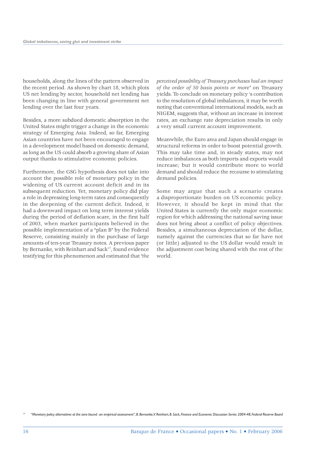households, along the lines of the pattern observed in the recent period. As shown by chart 18, which plots US net lending by sector, household net lending has been changing in line with general government net lending over the last four years.

Besides, a more subdued domestic absorption in the United States might trigger a change in the economic strategy of Emerging Asia*.* Indeed, so far, Emerging Asian countries have not been encouraged to engage in a development model based on domestic demand, as long as the US could absorb a growing share of Asian output thanks to stimulative economic policies.

Furthermore, the GSG hypothesis does not take into account the possible role of monetary policy in the widening of US current account deficit and in its subsequent reduction*.* Yet, monetary policy did play a role in depressing long-term rates and consequently in the deepening of the current deficit. Indeed, it had a downward impact on long term interest yields during the period of deflation scare, in the first half of 2003, when market participants believed in the possible implementation of a "plan B" by the Federal Reserve, consisting mainly in the purchase of large amounts of ten-year Treasury notes. A previous paper by Bernanke, with Reinhart and Sack<sup>17</sup>, found evidence testifying for this phenomenon and estimated that *"the* 

*perceived possibility of Treasury purchases had an impact of the order of 50 basis points or more"* on Treasury yields. To conclude on monetary policy 's contribution to the resolution of global imbalances, it may be worth noting that conventional international models, such as NIGEM, suggests that, without an increase in interest rates, an exchange rate depreciation results in only a very small current account improvement.

Meanwhile, the Euro area and Japan should engage in structural reforms in order to boost potential growth. This may take time and, in steady states, may not reduce imbalances as both imports and exports would increase; but it would contribute more to world demand and should reduce the recourse to stimulating demand policies.

Some may argue that such a scenario creates a disproportionate burden on US economic policy. However, it should be kept in mind that the United States is currently the only major economic region for which addressing the national saving issue does not bring about a conflict of policy objectives. Besides, a simultaneous depreciation of the dollar, namely against the currencies that so far have not (or little) adjusted to the US dollar would result in the adjustment cost being shared with the rest of the world.

*<sup>17 &</sup>quot;Monetary policy alternatives at the zero bound : an empirical assessment", B. Bernanke, V. Reinhart, B. Sack, Finance and Economic Discussion Series 2004-48, Federal Reserve Board*